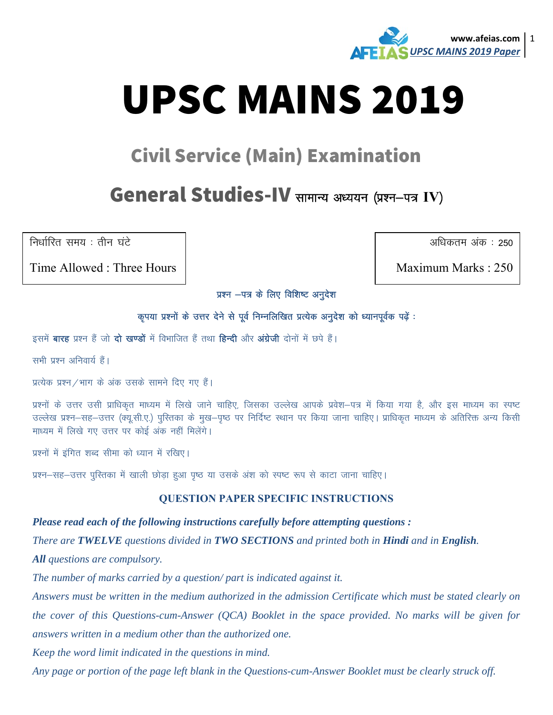

# **UPSC MAINS 2019**

## **Civil Service (Main) Examination**

## General Studies-IV सामान्य अध्ययन (प्रश्न-पत्र IV)

निर्धारित समय: तीन घंटे

Time Allowed: Three Hours

अधिकतम अंक : 250

Maximum Marks: 250

प्रश्न -पत्र के लिए विशिष्ट अनुदेश

#### कृपया प्रश्नों के उत्तर देने से पूर्व निम्नलिखित प्रत्येक अनुदेश को ध्यानपूर्वक पढ़ें :

इसमें **बारह** प्रश्न हैं जो **दो खण्डों** में विभाजित हैं तथा **हिन्दी** और **अंग्रेजी** दोनों में छपे हैं।

सभी प्रश्न अनिवार्य हैं।

प्रत्येक प्रश्न/भाग के अंक उसके सामने दिए गए हैं।

प्रश्नों के उत्तर उसी प्राधिकृत माध्यम में लिखे जाने चाहिए, जिसका उल्लेख आपके प्रवेश–पत्र में किया गया है, और इस माध्यम का स्पष्ट उल्लेख प्रश्न–सह–उत्तर (क्यू.सी.ए.) पुस्तिका के मुख–पुष्ठ पर निर्दिष्ट स्थान पर किया जाना चाहिए। प्राधिकृत माध्यम के अतिरिक्त अन्य किसी माध्यम में लिखे गए उत्तर पर कोई अंक नहीं मिलेंगे।

प्रश्नों में इंगित शब्द सीमा को ध्यान में रखिए।

प्रश्न–सह–उत्तर पुरितका में खाली छोड़ा हुआ पृष्ठ या उसके अंश को स्पष्ट रूप से काटा जाना चाहिए।

#### **QUESTION PAPER SPECIFIC INSTRUCTIONS**

#### Please read each of the following instructions carefully before attempting questions :

There are TWELVE questions divided in TWO SECTIONS and printed both in Hindi and in English.

**All** questions are compulsory.

The number of marks carried by a question/part is indicated against it.

Answers must be written in the medium authorized in the admission Certificate which must be stated clearly on the cover of this Questions-cum-Answer (QCA) Booklet in the space provided. No marks will be given for answers written in a medium other than the authorized one.

Keep the word limit indicated in the questions in mind.

Any page or portion of the page left blank in the Questions-cum-Answer Booklet must be clearly struck off.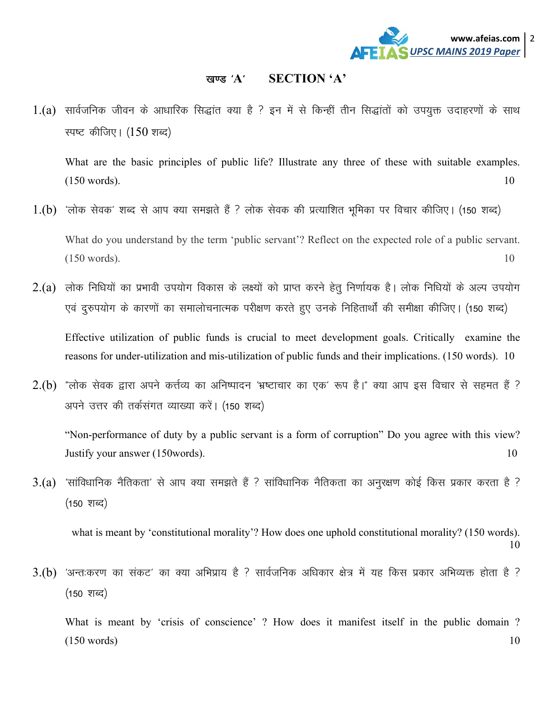

### [k.M ^**A**^ **SECTION 'A'**

1.(a) सार्वजनिक जीवन के आधारिक सिद्धांत क्या है ? इन में से किन्हीं तीन सिद्धांतों को उपयुक्त उदाहरणों के साथ स्पष्ट कीजिए।  $(150 \text{ m})$ 

What are the basic principles of public life? Illustrate any three of these with suitable examples.  $(150 \text{ words})$ . 10

- $1.(b)$  'लोक सेवक' शब्द से आप क्या समझते हैं ? लोक सेवक की प्रत्याशित भूमिका पर विचार कीजिए। (150 शब्द) What do you understand by the term 'public servant'? Reflect on the expected role of a public servant.  $(150 \text{ words}).$  10
- $2.(a)$  लोक निधियों का प्रभावी उपयोग विकास के लक्ष्यों को प्राप्त करने हेतू निर्णायक है। लोक निधियों के अल्प उपयोग एवं दुरुपयोग के कारणों का समालोचनात्मक परीक्षण करते हुए उनके निहितार्थों की समीक्षा कीजिए। (150 शब्द) Effective utilization of public funds is crucial to meet development goals. Critically examine the reasons for under-utilization and mis-utilization of public funds and their implications. (150 words). 10
- $2.(b)$  "लोक सेवक द्वारा अपने कर्त्तव्य का अनिष्पादन 'भ्रष्टाचार का एक' रूप है।" क्या आप इस विचार से सहमत हैं ? अपने उत्तर की तर्कसंगत व्याख्या करें। (150 शब्द)

"Non-performance of duty by a public servant is a form of corruption" Do you agree with this view? Justify your answer (150words). 10

 $3.(a)$  'सांविधानिक नैतिकता' से आप क्या समझते हैं ? सांविधानिक नैतिकता का अनुरक्षण कोई किस प्रकार करता है ?  $(150 \; \text{Mpc})$ 

what is meant by 'constitutional morality'? How does one uphold constitutional morality? (150 words). 10

 $3.$ (b)  $\,$  'अन्त:करण का संकट' का क्या अभिप्राय है ? सार्वजनिक अधिकार क्षेत्र में यह किस प्रकार अभिव्यक्त होता है ?  $(150 \; \text{Y} \cdot \text{Y})$ 

What is meant by 'crisis of conscience' ? How does it manifest itself in the public domain ?  $(150 \text{ words})$  10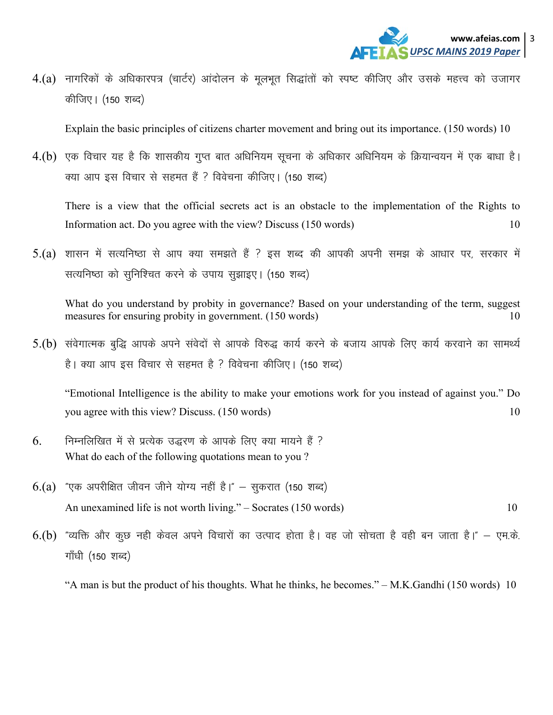

 $4.(a)$  नागरिकों के अधिकारपत्र (चार्टर) आंदोलन के मूलभूत सिद्धांतों को स्पष्ट कीजिए और उसके महत्त्व को उजागर कीजिए। (150 शब्द)

Explain the basic principles of citizens charter movement and bring out its importance. (150 words) 10

 $4.(b)$  एक विचार यह है कि शासकीय गुप्त बात अधिनियम सूचना के अधिकार अधिनियम के क्रियान्वयन में एक बाधा है। क्या आप इस विचार से सहमत हैं ? विवेचना कीजिए। (150 शब्द)

There is a view that the official secrets act is an obstacle to the implementation of the Rights to Information act. Do you agree with the view? Discuss (150 words) 10

5.(a) शासन में सत्यनिष्ठा से आप क्या समझते हैं ? इस शब्द की आपकी अपनी समझ के आधार पर, सरकार में सत्यनिष्ठा को सुनिश्चित करने के उपाय सुझाइए। (150 शब्द)

What do you understand by probity in governance? Based on your understanding of the term, suggest measures for ensuring probity in government. (150 words) 10

5.(b) संवेगात्मक बुद्धि आपके अपने संवेदों से आपके विरुद्ध कार्य करने के बजाय आपके लिए कार्य करवाने का सामर्थ्य है। क्या आप इस विचार से सहमत है ? विवेचना कीजिए। (150 शब्द)

"Emotional Intelligence is the ability to make your emotions work for you instead of against you." Do you agree with this view? Discuss. (150 words) 10

- $6.$  Fिम्नलिखित में से प्रत्येक उद्धरण के आपके लिए क्या मायने हैं ? What do each of the following quotations mean to you ?
- $6.(a)$  "एक अपरीक्षित जीवन जीने योग्य नहीं है।" सुकरात (150 शब्द) An unexamined life is not worth living." – Socrates (150 words) 10
- $6.(b)$  "व्यक्ति और कूछ नही केवल अपने विचारों का उत्पाद होता है। वह जो सोचता है वही बन जाता है।" एम.के. गाँधी (150 शब्द)

"A man is but the product of his thoughts. What he thinks, he becomes." – M.K.Gandhi (150 words) 10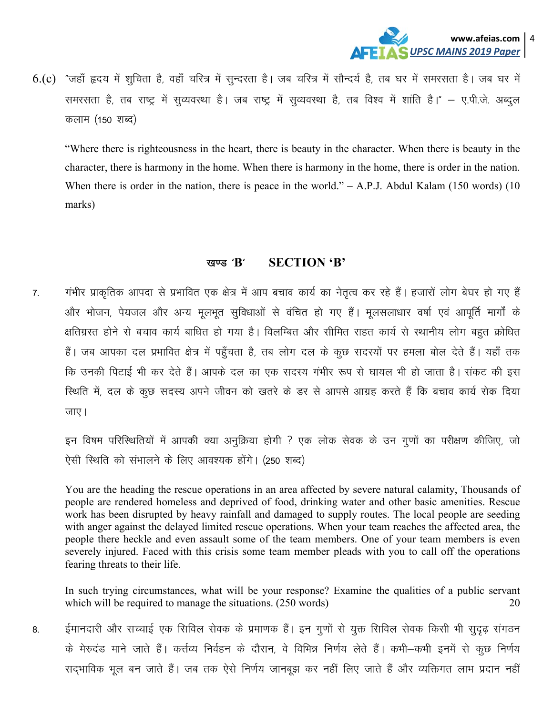

6.(c) "जहाँ हृदय में शूचिता है, वहाँ चरित्र में सुन्दरता है। जब चरित्र में सौन्दर्य है, तब घर में समरसता है। जब घर में समरसता है, तब राष्ट्र में सुव्यवस्था है। जब राष्ट्र में सुव्यवस्था है, तब विश्व में शांति है।" – ए.पी.जे. अब्दुल कलाम (150 शब्द)

"Where there is righteousness in the heart, there is beauty in the character. When there is beauty in the character, there is harmony in the home. When there is harmony in the home, there is order in the nation. When there is order in the nation, there is peace in the world."  $- A.P.J.$  Abdul Kalam (150 words) (10 marks)

#### खण्ड $'$ B $'$ **SECTION 'B'**

गंभीर प्राकृतिक आपदा से प्रभावित एक क्षेत्र में आप बचाव कार्य का नेतृत्व कर रहे हैं। हजारों लोग बेघर हो गए हैं  $\overline{7}$ . और भोजन, पेयजल और अन्य मूलभूत सुविधाओं से वंचित हो गए हैं। मूलसलाधार वर्षा एवं आपूर्ति मार्गों के क्षतिग्रस्त होने से बचाव कार्य बाधित हो गया है। विलम्बित और सीमित राहत कार्य से स्थानीय लोग बहुत क्रोधित हैं। जब आपका दल प्रभावित क्षेत्र में पहुँचता है, तब लोग दल के कुछ सदस्यों पर हमला बोल देते हैं। यहाँ तक कि उनकी पिटाई भी कर देते हैं। आपके दल का एक सदस्य गंभीर रूप से घायल भी हो जाता है। संकट की इस स्थिति में, दल के कूछ सदस्य अपने जीवन को खतरे के डर से आपसे आग्रह करते हैं कि बचाव कार्य रोक दिया जाए।

इन विषम परिस्थितियों में आपकी क्या अनुक्रिया होगी ? एक लोक सेवक के उन गुणों का परीक्षण कीजिए, जो ऐसी स्थिति को संभालने के लिए आवश्यक होंगे। (250 शब्द)

You are the heading the rescue operations in an area affected by severe natural calamity, Thousands of people are rendered homeless and deprived of food, drinking water and other basic amenities. Rescue work has been disrupted by heavy rainfall and damaged to supply routes. The local people are seeding with anger against the delayed limited rescue operations. When your team reaches the affected area, the people there heckle and even assault some of the team members. One of your team members is even severely injured. Faced with this crisis some team member pleads with you to call off the operations fearing threats to their life.

In such trying circumstances, what will be your response? Examine the qualities of a public servant which will be required to manage the situations. (250 words) 20

ईमानदारी और सच्चाई एक सिविल सेवक के प्रमाणक हैं। इन गुणों से युक्त सिविल सेवक किसी भी सुदृढ़ संगठन 8. के मेरुदंड माने जाते हैं। कर्त्तव्य निर्वहन के दौरान, वे विभिन्न निर्णय लेते हैं। कभी–कभी इनमें से कूछ निर्णय सद्भाविक भूल बन जाते हैं। जब तक ऐसे निर्णय जानबूझ कर नहीं लिए जाते हैं और व्यक्तिगत लाभ प्रदान नहीं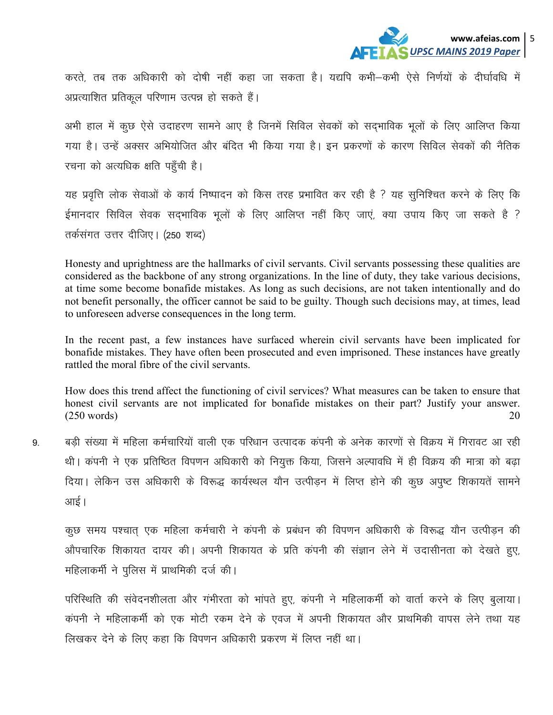

करते, तब तक अधिकारी को दोषी नहीं कहा जा सकता है। यद्यपि कभी–कभी ऐसे निर्णयों के दीर्घावधि में अप्रत्याशित प्रतिकुल परिणाम उत्पन्न हो सकते हैं।

अभी हाल में कूछ ऐसे उदाहरण सामने आए है जिनमें सिविल सेवकों को सदभाविक भूलों के लिए आलिप्त किया गया है। उन्हें अक्सर अभियोजित और बंदित भी किया गया है। इन प्रकरणों के कारण सिविल सेवकों की नैतिक रचना को अत्यधिक क्षति पहुँची है।

यह प्रवृत्ति लोक सेवाओं के कार्य निष्पादन को किस तरह प्रभावित कर रही है ? यह सुनिश्चित करने के लिए कि ईमानदार सिविल सेवक सदभाविक भूलों के लिए आलिप्त नहीं किए जाएं, क्या उपाय किए जा सकते है ? तर्कसंगत उत्तर दीजिए। (250 शब्द)

Honesty and uprightness are the hallmarks of civil servants. Civil servants possessing these qualities are considered as the backbone of any strong organizations. In the line of duty, they take various decisions, at time some become bonafide mistakes. As long as such decisions, are not taken intentionally and do not benefit personally, the officer cannot be said to be guilty. Though such decisions may, at times, lead to unforeseen adverse consequences in the long term.

In the recent past, a few instances have surfaced wherein civil servants have been implicated for bonafide mistakes. They have often been prosecuted and even imprisoned. These instances have greatly rattled the moral fibre of the civil servants.

How does this trend affect the functioning of civil services? What measures can be taken to ensure that honest civil servants are not implicated for bonafide mistakes on their part? Justify your answer.  $(250 \text{ words})$  20

9. बड़ी संख्या में महिला कर्मचारियों वाली एक परिधान उत्पादक कंपनी के अनेक कारणों से विक्रय में गिरावट आ रही थी। कंपनी ने एक प्रतिष्ठित विपणन अधिकारी को नियुक्त किया, जिसने अल्पावधि में ही विक्रय की मात्रा को बढ़ा दिया। लेकिन उस अधिकारी के विरूद्ध कार्यस्थल यौन उत्पीडन में लिप्त होने की कूछ अपुष्ट शिकायतें सामने आई।

कूछ समय पश्चात् एक महिला कर्मचारी ने कंपनी के प्रबंधन की विपणन अधिकारी के विरूद्ध यौन उत्पीड़न की ओपचारिक शिकायत दायर की। अपनी शिकायत के प्रति कंपनी की संज्ञान लेने में उदासीनता को देखते हुए, महिलाकर्मी ने पुलिस में प्राथमिकी दर्ज की।

परिस्थिति की संवेदनशीलता और गंभीरता को भांपते हुए, कंपनी ने महिलाकर्मी को वार्ता करने के लिए बुलाया। कंपनी ने महिलाकर्मी को एक मोटी रकम देने के एवज में अपनी शिकायत और प्राथमिकी वापस लेने तथा यह लिखकर देने के लिए कहा कि विपणन अधिकारी प्रकरण में लिप्त नहीं था।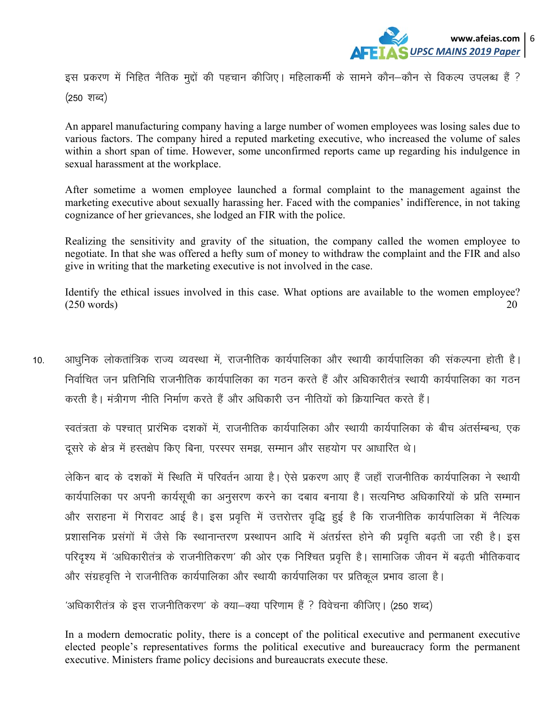

इस प्रकरण में निहित नैतिक मुद्दों की पहचान कीजिए। महिलाकर्मी के सामने कौन–कौन से विकल्प उपलब्ध हैं ?  $(250 \; \text{Y} \cdot \text{Y})$ 

An apparel manufacturing company having a large number of women employees was losing sales due to various factors. The company hired a reputed marketing executive, who increased the volume of sales within a short span of time. However, some unconfirmed reports came up regarding his indulgence in sexual harassment at the workplace.

After sometime a women employee launched a formal complaint to the management against the marketing executive about sexually harassing her. Faced with the companies' indifference, in not taking cognizance of her grievances, she lodged an FIR with the police.

Realizing the sensitivity and gravity of the situation, the company called the women employee to negotiate. In that she was offered a hefty sum of money to withdraw the complaint and the FIR and also give in writing that the marketing executive is not involved in the case.

Identify the ethical issues involved in this case. What options are available to the women employee?  $(250 \text{ words})$  20

10. अाधूनिक लोकतांत्रिक राज्य व्यवस्था में, राजनीतिक कार्यपालिका और स्थायी कार्यपालिका की संकल्पना होती है। निर्वाचित जन प्रतिनिधि राजनीतिक कार्यपालिका का गठन करते हैं और अधिकारीतंत्र स्थायी कार्यपालिका का गठन करती है। मंत्रीगण नीति निर्माण करते हैं और अधिकारी उन नीतियों को क्रियान्वित करते हैं।

स्वतंत्रता के पश्चात प्रारंभिक दशकों में, राजनीतिक कार्यपालिका और स्थायी कार्यपालिका के बीच अंतर्सम्बन्ध, एक दूसरे के क्षेत्र में हस्तक्षेप किए बिना, परस्पर समझ, सम्मान और सहयोग पर आधारित थे।

लेकिन बाद के दशकों में स्थिति में परिवर्तन आया है। ऐसे प्रकरण आए हैं जहाँ राजनीतिक कार्यपालिका ने स्थायी कार्यपालिका पर अपनी कार्यसूची का अनुसरण करने का दबाव बनाया है। सत्यनिष्ठ अधिकारियों के प्रति सम्मान ओर सराहना में गिरावट आई है। इस प्रवृत्ति में उत्तरोत्तर वृद्धि हुई है कि राजनीतिक कार्यपालिका में नैत्यिक प्रशासनिक प्रसंगों में जैसे कि स्थानान्तरण प्रस्थापन आदि में अंतर्ग्रस्त होने की प्रवृत्ति बढती जा रही है। इस परिदृश्य में 'अधिकारीतंत्र के राजनीतिकरण' की ओर एक निश्चित प्रवृत्ति है। सामाजिक जीवन में बढती भौतिकवाद ओर संग्रहवृत्ति ने राजनीतिक कार्यपालिका और स्थायी कार्यपालिका पर प्रतिकूल प्रभाव डाला है।

 $\hat{v}$ अधिकारीतंत्र के इस राजनीतिकरण' के क्या-क्या परिणाम हैं ? विवेचना कीजिए। (250 शब्द)

In a modern democratic polity, there is a concept of the political executive and permanent executive elected people's representatives forms the political executive and bureaucracy form the permanent executive. Ministers frame policy decisions and bureaucrats execute these.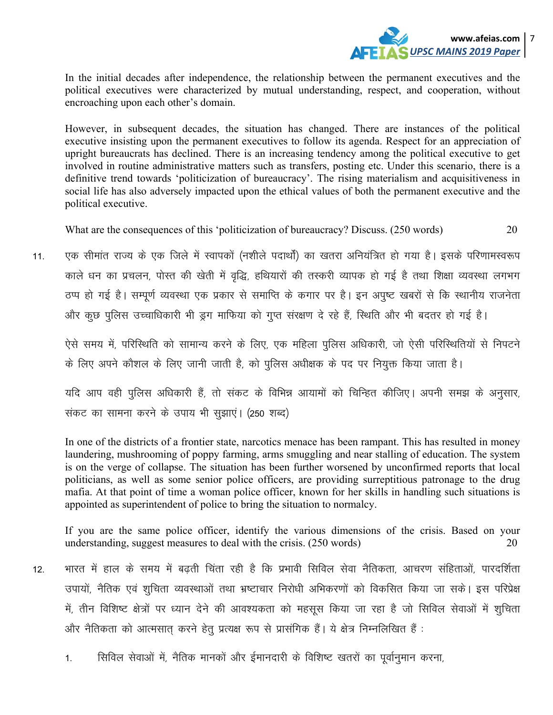

In the initial decades after independence, the relationship between the permanent executives and the political executives were characterized by mutual understanding, respect, and cooperation, without encroaching upon each other's domain.

However, in subsequent decades, the situation has changed. There are instances of the political executive insisting upon the permanent executives to follow its agenda. Respect for an appreciation of upright bureaucrats has declined. There is an increasing tendency among the political executive to get involved in routine administrative matters such as transfers, posting etc. Under this scenario, there is a definitive trend towards 'politicization of bureaucracy'. The rising materialism and acquisitiveness in social life has also adversely impacted upon the ethical values of both the permanent executive and the political executive.

What are the consequences of this 'politicization of bureaucracy? Discuss. (250 words) 20

एक सीमांत राज्य के एक जिले में स्वापकों (नशीले पदार्थों) का खतरा अनियंत्रित हो गया है। इसके परिणामस्वरूप  $11$ काले धन का प्रचलन, पोस्त की खेती में वृद्धि, हथियारों की तस्करी व्यापक हो गई है तथा शिक्षा व्यवस्था लगभग ठप्प हो गई है। सम्पूर्ण व्यवस्था एक प्रकार से समाप्ति के कगार पर है। इन अपृष्ट खबरों से कि स्थानीय राजनेता और कुछ पुलिस उच्चाधिकारी भी ड्रग माफिया को गुप्त संरक्षण दे रहे हैं, स्थिति और भी बदतर हो गई है।

ऐसे समय में, परिस्थिति को सामान्य करने के लिए, एक महिला पुलिस अधिकारी, जो ऐसी परिस्थितियों से निपटने के लिए अपने कौशल के लिए जानी जाती है, को पुलिस अधीक्षक के पद पर नियुक्त किया जाता है।

यदि आप वही पुलिस अधिकारी हैं, तो संकट के विभिन्न आयामों को चिन्हित कीजिए। अपनी समझ के अनुसार, संकट का सामना करने के उपाय भी सूझाएं। (250 शब्द)

In one of the districts of a frontier state, narcotics menace has been rampant. This has resulted in money laundering, mushrooming of poppy farming, arms smuggling and near stalling of education. The system is on the verge of collapse. The situation has been further worsened by unconfirmed reports that local politicians, as well as some senior police officers, are providing surreptitious patronage to the drug mafia. At that point of time a woman police officer, known for her skills in handling such situations is appointed as superintendent of police to bring the situation to normalcy.

If you are the same police officer, identify the various dimensions of the crisis. Based on your understanding, suggest measures to deal with the crisis. (250 words) 20

- भारत में हाल के समय में बढती चिंता रही है कि प्रभावी सिविल सेवा नैतिकता, आचरण संहिताओं, पारदर्शिता  $12.$ उपायों, नैतिक एवं शुचिता व्यवस्थाओं तथा भ्रष्टाचार निरोधी अभिकरणों को विकसित किया जा सके। इस परिप्रेक्ष में, तीन विशिष्ट क्षेत्रों पर ध्यान देने की आवश्यकता को महसूस किया जा रहा है जो सिविल सेवाओं में शूचिता और नैतिकता को आत्मसात करने हेतु प्रत्यक्ष रूप से प्रासंगिक हैं। ये क्षेत्र निम्नलिखित हैं:
	- सिविल सेवाओं में, नैतिक मानकों और ईमानदारी के विशिष्ट खतरों का पूर्वानुमान करना,  $1<sup>1</sup>$